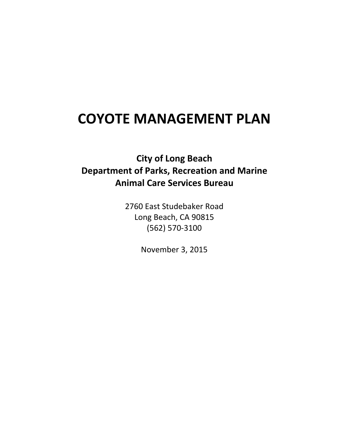# **COYOTE MANAGEMENT PLAN**

**City of Long Beach Department of Parks, Recreation and Marine Animal Care Services Bureau**

> 2760 East Studebaker Road Long Beach, CA 90815 (562) 570-3100

> > November 3, 2015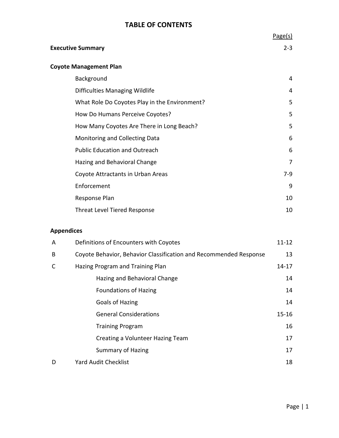# **TABLE OF CONTENTS**

|                                               | Page(s) |
|-----------------------------------------------|---------|
| <b>Executive Summary</b>                      | $2 - 3$ |
| <b>Coyote Management Plan</b>                 |         |
| Background                                    | 4       |
| Difficulties Managing Wildlife                | 4       |
| What Role Do Coyotes Play in the Environment? | 5       |
| How Do Humans Perceive Coyotes?               | 5       |
| How Many Coyotes Are There in Long Beach?     | 5       |
| Monitoring and Collecting Data                | 6       |
| <b>Public Education and Outreach</b>          | 6       |
| Hazing and Behavioral Change                  | 7       |
| Coyote Attractants in Urban Areas             | $7-9$   |
| Enforcement                                   | 9       |
| Response Plan                                 | 10      |
| Threat Level Tiered Response                  | 10      |
|                                               |         |

# **Appendices**

| A | Definitions of Encounters with Coyotes                            |       |
|---|-------------------------------------------------------------------|-------|
| B | Coyote Behavior, Behavior Classification and Recommended Response |       |
| C | Hazing Program and Training Plan                                  |       |
|   | Hazing and Behavioral Change                                      | 14    |
|   | <b>Foundations of Hazing</b>                                      | 14    |
|   | <b>Goals of Hazing</b>                                            | 14    |
|   | <b>General Considerations</b>                                     | 15-16 |
|   | <b>Training Program</b>                                           | 16    |
|   | Creating a Volunteer Hazing Team                                  | 17    |
|   | <b>Summary of Hazing</b>                                          | 17    |
| D | <b>Yard Audit Checklist</b>                                       |       |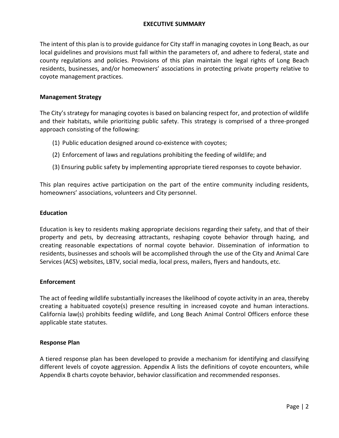# **EXECUTIVE SUMMARY**

The intent of this plan is to provide guidance for City staff in managing coyotes in Long Beach, as our local guidelines and provisions must fall within the parameters of, and adhere to federal, state and county regulations and policies. Provisions of this plan maintain the legal rights of Long Beach residents, businesses, and/or homeowners' associations in protecting private property relative to coyote management practices.

# **Management Strategy**

The City's strategy for managing coyotes is based on balancing respect for, and protection of wildlife and their habitats, while prioritizing public safety. This strategy is comprised of a three-pronged approach consisting of the following:

- (1) Public education designed around co-existence with coyotes;
- (2) Enforcement of laws and regulations prohibiting the feeding of wildlife; and
- (3) Ensuring public safety by implementing appropriate tiered responses to coyote behavior.

This plan requires active participation on the part of the entire community including residents, homeowners' associations, volunteers and City personnel.

# **Education**

Education is key to residents making appropriate decisions regarding their safety, and that of their property and pets, by decreasing attractants, reshaping coyote behavior through hazing, and creating reasonable expectations of normal coyote behavior. Dissemination of information to residents, businesses and schools will be accomplished through the use of the City and Animal Care Services (ACS) websites, LBTV, social media, local press, mailers, flyers and handouts, etc.

#### **Enforcement**

The act of feeding wildlife substantially increases the likelihood of coyote activity in an area, thereby creating a habituated coyote(s) presence resulting in increased coyote and human interactions. California law(s) prohibits feeding wildlife, and Long Beach Animal Control Officers enforce these applicable state statutes.

#### **Response Plan**

A tiered response plan has been developed to provide a mechanism for identifying and classifying different levels of coyote aggression. Appendix A lists the definitions of coyote encounters, while Appendix B charts coyote behavior, behavior classification and recommended responses.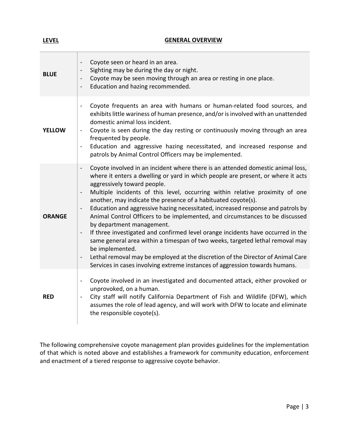т

# **LEVEL GENERAL OVERVIEW**

| <b>BLUE</b>   | Coyote seen or heard in an area.<br>Sighting may be during the day or night.<br>$\qquad \qquad \blacksquare$<br>Coyote may be seen moving through an area or resting in one place.<br>$\qquad \qquad \blacksquare$<br>Education and hazing recommended.<br>$\frac{1}{2}$                                                                                                                                                                                                                                                                                                                                                                                                                                                                                                                                                                                                                                                                                                                                                                                     |
|---------------|--------------------------------------------------------------------------------------------------------------------------------------------------------------------------------------------------------------------------------------------------------------------------------------------------------------------------------------------------------------------------------------------------------------------------------------------------------------------------------------------------------------------------------------------------------------------------------------------------------------------------------------------------------------------------------------------------------------------------------------------------------------------------------------------------------------------------------------------------------------------------------------------------------------------------------------------------------------------------------------------------------------------------------------------------------------|
| <b>YELLOW</b> | Coyote frequents an area with humans or human-related food sources, and<br>÷<br>exhibits little wariness of human presence, and/or is involved with an unattended<br>domestic animal loss incident.<br>Coyote is seen during the day resting or continuously moving through an area<br>frequented by people.<br>Education and aggressive hazing necessitated, and increased response and<br>$\blacksquare$<br>patrols by Animal Control Officers may be implemented.                                                                                                                                                                                                                                                                                                                                                                                                                                                                                                                                                                                         |
| <b>ORANGE</b> | Coyote involved in an incident where there is an attended domestic animal loss,<br>$\overline{\phantom{0}}$<br>where it enters a dwelling or yard in which people are present, or where it acts<br>aggressively toward people.<br>Multiple incidents of this level, occurring within relative proximity of one<br>$\overline{\phantom{0}}$<br>another, may indicate the presence of a habituated coyote(s).<br>Education and aggressive hazing necessitated, increased response and patrols by<br>$\qquad \qquad \blacksquare$<br>Animal Control Officers to be implemented, and circumstances to be discussed<br>by department management.<br>If three investigated and confirmed level orange incidents have occurred in the<br>$\overline{\phantom{0}}$<br>same general area within a timespan of two weeks, targeted lethal removal may<br>be implemented.<br>Lethal removal may be employed at the discretion of the Director of Animal Care<br>$\overline{\phantom{0}}$<br>Services in cases involving extreme instances of aggression towards humans. |
| <b>RED</b>    | Coyote involved in an investigated and documented attack, either provoked or<br>$\blacksquare$<br>unprovoked, on a human.<br>City staff will notify California Department of Fish and Wildlife (DFW), which<br>assumes the role of lead agency, and will work with DFW to locate and eliminate<br>the responsible coyote(s).                                                                                                                                                                                                                                                                                                                                                                                                                                                                                                                                                                                                                                                                                                                                 |

The following comprehensive coyote management plan provides guidelines for the implementation of that which is noted above and establishes a framework for community education, enforcement and enactment of a tiered response to aggressive coyote behavior.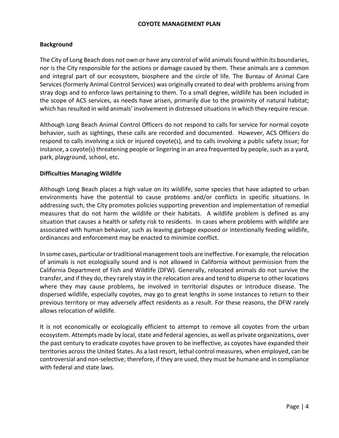# **COYOTE MANAGEMENT PLAN**

# **Background**

The City of Long Beach does not own or have any control of wild animals found within its boundaries, nor is the City responsible for the actions or damage caused by them. These animals are a common and integral part of our ecosystem, biosphere and the circle of life. The Bureau of Animal Care Services (formerly Animal Control Services) was originally created to deal with problems arising from stray dogs and to enforce laws pertaining to them. To a small degree, wildlife has been included in the scope of ACS services, as needs have arisen, primarily due to the proximity of natural habitat; which has resulted in wild animals' involvement in distressed situations in which they require rescue.

Although Long Beach Animal Control Officers do not respond to calls for service for normal coyote behavior, such as sightings, these calls are recorded and documented. However, ACS Officers do respond to calls involving a sick or injured coyote(s), and to calls involving a public safety issue; for instance, a coyote(s) threatening people or lingering in an area frequented by people, such as a yard, park, playground, school, etc.

# **Difficulties Managing Wildlife**

Although Long Beach places a high value on its wildlife, some species that have adapted to urban environments have the potential to cause problems and/or conflicts in specific situations. In addressing such, the City promotes policies supporting prevention and implementation of remedial measures that do not harm the wildlife or their habitats. A wildlife problem is defined as any situation that causes a health or safety risk to residents. In cases where problems with wildlife are associated with human behavior, such as leaving garbage exposed or intentionally feeding wildlife, ordinances and enforcement may be enacted to minimize conflict.

In some cases, particular or traditional management tools are ineffective. For example, the relocation of animals is not ecologically sound and is not allowed in California without permission from the California Department of Fish and Wildlife (DFW). Generally, relocated animals do not survive the transfer, and if they do, they rarely stay in the relocation area and tend to disperse to other locations where they may cause problems, be involved in territorial disputes or introduce disease. The dispersed wildlife, especially coyotes, may go to great lengths in some instances to return to their previous territory or may adversely affect residents as a result. For these reasons, the DFW rarely allows relocation of wildlife.

It is not economically or ecologically efficient to attempt to remove all coyotes from the urban ecosystem. Attempts made by local, state and federal agencies, as well as private organizations, over the past century to eradicate coyotes have proven to be ineffective, as coyotes have expanded their territories across the United States. As a last resort, lethal control measures, when employed, can be controversial and non-selective; therefore, if they are used, they must be humane and in compliance with federal and state laws.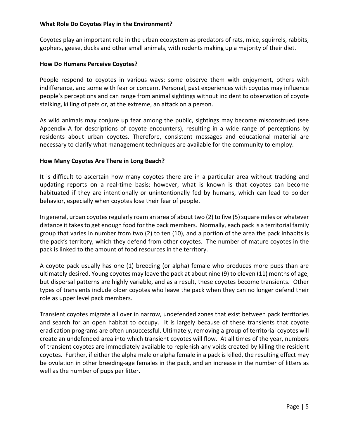# **What Role Do Coyotes Play in the Environment?**

Coyotes play an important role in the urban ecosystem as predators of rats, mice, squirrels, rabbits, gophers, geese, ducks and other small animals, with rodents making up a majority of their diet.

# **How Do Humans Perceive Coyotes?**

People respond to coyotes in various ways: some observe them with enjoyment, others with indifference, and some with fear or concern. Personal, past experiences with coyotes may influence people's perceptions and can range from animal sightings without incident to observation of coyote stalking, killing of pets or, at the extreme, an attack on a person.

As wild animals may conjure up fear among the public, sightings may become misconstrued (see Appendix A for descriptions of coyote encounters), resulting in a wide range of perceptions by residents about urban coyotes. Therefore, consistent messages and educational material are necessary to clarify what management techniques are available for the community to employ.

# **How Many Coyotes Are There in Long Beach?**

It is difficult to ascertain how many coyotes there are in a particular area without tracking and updating reports on a real-time basis; however, what is known is that coyotes can become habituated if they are intentionally or unintentionally fed by humans, which can lead to bolder behavior, especially when coyotes lose their fear of people.

In general, urban coyotes regularly roam an area of about two (2) to five (5) square miles or whatever distance it takes to get enough food for the pack members. Normally, each pack is a territorial family group that varies in number from two (2) to ten (10), and a portion of the area the pack inhabits is the pack's territory, which they defend from other coyotes. The number of mature coyotes in the pack is linked to the amount of food resources in the territory.

A coyote pack usually has one (1) breeding (or alpha) female who produces more pups than are ultimately desired. Young coyotes may leave the pack at about nine (9) to eleven (11) months of age, but dispersal patterns are highly variable, and as a result, these coyotes become transients. Other types of transients include older coyotes who leave the pack when they can no longer defend their role as upper level pack members.

Transient coyotes migrate all over in narrow, undefended zones that exist between pack territories and search for an open habitat to occupy. It is largely because of these transients that coyote eradication programs are often unsuccessful. Ultimately, removing a group of territorial coyotes will create an undefended area into which transient coyotes will flow. At all times of the year, numbers of transient coyotes are immediately available to replenish any voids created by killing the resident coyotes. Further, if either the alpha male or alpha female in a pack is killed, the resulting effect may be ovulation in other breeding-age females in the pack, and an increase in the number of litters as well as the number of pups per litter.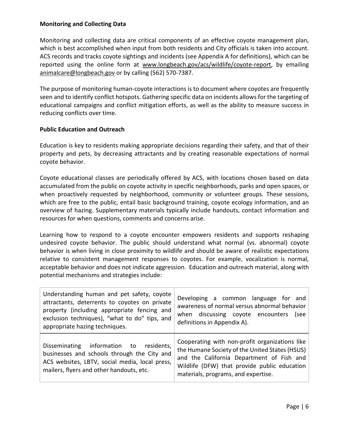# **Monitoring and Collecting Data**

Monitoring and collecting data are critical components of an effective coyote management plan, which is best accomplished when input from both residents and City officials is taken into account. ACS records and tracks coyote sightings and incidents (see Appendix A for definitions), which can be reported using the online form at www.longbeach.gov/acs/wildlife/coyote-report, by emailing animalcare@longbeach.gov or by calling (562) 570-7387.

The purpose of monitoring human-coyote interactions is to document where coyotes are frequently seen and to identify conflict hotspots. Gathering specific data on incidents allows for the targeting of educational campaigns and conflict mitigation efforts, as well as the ability to measure success in reducing conflicts over time.

# **Public Education and Outreach**

Education is key to residents making appropriate decisions regarding their safety, and that of their property and pets, by decreasing attractants and by creating reasonable expectations of normal coyote behavior.

Coyote educational classes are periodically offered by ACS, with locations chosen based on data accumulated from the public on coyote activity in specific neighborhoods, parks and open spaces, or when proactively requested by neighborhood, community or volunteer groups. These sessions, which are free to the public, entail basic background training, coyote ecology information, and an overview of hazing. Supplementary materials typically include handouts, contact information and resources for when questions, comments and concerns arise.

Learning how to respond to a coyote encounter empowers residents and supports reshaping undesired coyote behavior. The public should understand what normal (vs. abnormal) coyote behavior is when living in close proximity to wildlife and should be aware of realistic expectations relative to consistent management responses to coyotes. For example, vocalization is normal, acceptable behavior and does not indicate aggression. Education and outreach material, along with potential mechanisms and strategies include:

| Understanding human and pet safety, coyote                                                                                                                                           | Developing a common language for and                                                                                                                                                                                                 |
|--------------------------------------------------------------------------------------------------------------------------------------------------------------------------------------|--------------------------------------------------------------------------------------------------------------------------------------------------------------------------------------------------------------------------------------|
| attractants, deterrents to coyotes on private                                                                                                                                        | awareness of normal versus abnormal behavior                                                                                                                                                                                         |
| property (including appropriate fencing and                                                                                                                                          | when discussing coyote encounters                                                                                                                                                                                                    |
| exclusion techniques), "what to do" tips, and                                                                                                                                        | (see                                                                                                                                                                                                                                 |
| appropriate hazing techniques.                                                                                                                                                       | definitions in Appendix A).                                                                                                                                                                                                          |
| Disseminating information to residents,<br>businesses and schools through the City and<br>ACS websites, LBTV, social media, local press,<br>mailers, flyers and other handouts, etc. | Cooperating with non-profit organizations like<br>the Humane Society of the United States (HSUS)<br>and the California Department of Fish and<br>Wildlife (DFW) that provide public education<br>materials, programs, and expertise. |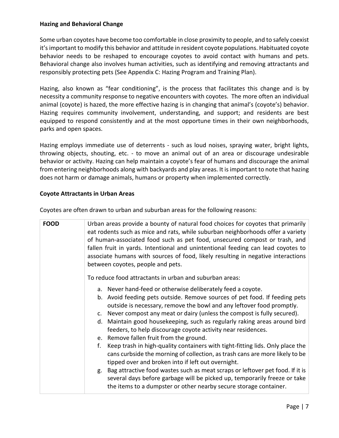# **Hazing and Behavioral Change**

Some urban coyotes have become too comfortable in close proximity to people, and to safely coexist it's important to modify this behavior and attitude in resident coyote populations. Habituated coyote behavior needs to be reshaped to encourage coyotes to avoid contact with humans and pets. Behavioral change also involves human activities, such as identifying and removing attractants and responsibly protecting pets (See Appendix C: Hazing Program and Training Plan).

Hazing, also known as "fear conditioning", is the process that facilitates this change and is by necessity a community response to negative encounters with coyotes. The more often an individual animal (coyote) is hazed, the more effective hazing is in changing that animal's (coyote's) behavior. Hazing requires community involvement, understanding, and support; and residents are best equipped to respond consistently and at the most opportune times in their own neighborhoods, parks and open spaces.

Hazing employs immediate use of deterrents - such as loud noises, spraying water, bright lights, throwing objects, shouting, etc. - to move an animal out of an area or discourage undesirable behavior or activity. Hazing can help maintain a coyote's fear of humans and discourage the animal from entering neighborhoods along with backyards and play areas. It is important to note that hazing does not harm or damage animals, humans or property when implemented correctly.

# **Coyote Attractants in Urban Areas**

Coyotes are often drawn to urban and suburban areas for the following reasons:

| <b>FOOD</b> | Urban areas provide a bounty of natural food choices for coyotes that primarily<br>eat rodents such as mice and rats, while suburban neighborhoods offer a variety<br>of human-associated food such as pet food, unsecured compost or trash, and<br>fallen fruit in yards. Intentional and unintentional feeding can lead coyotes to<br>associate humans with sources of food, likely resulting in negative interactions<br>between coyotes, people and pets.                           |  |  |
|-------------|-----------------------------------------------------------------------------------------------------------------------------------------------------------------------------------------------------------------------------------------------------------------------------------------------------------------------------------------------------------------------------------------------------------------------------------------------------------------------------------------|--|--|
|             | To reduce food attractants in urban and suburban areas:                                                                                                                                                                                                                                                                                                                                                                                                                                 |  |  |
|             | a. Never hand-feed or otherwise deliberately feed a coyote.<br>b. Avoid feeding pets outside. Remove sources of pet food. If feeding pets<br>outside is necessary, remove the bowl and any leftover food promptly.<br>c. Never compost any meat or dairy (unless the compost is fully secured).<br>d. Maintain good housekeeping, such as regularly raking areas around bird<br>feeders, to help discourage coyote activity near residences.<br>e. Remove fallen fruit from the ground. |  |  |
|             | f.<br>Keep trash in high-quality containers with tight-fitting lids. Only place the<br>cans curbside the morning of collection, as trash cans are more likely to be<br>tipped over and broken into if left out overnight.                                                                                                                                                                                                                                                               |  |  |
|             | Bag attractive food wastes such as meat scraps or leftover pet food. If it is<br>g.<br>several days before garbage will be picked up, temporarily freeze or take<br>the items to a dumpster or other nearby secure storage container.                                                                                                                                                                                                                                                   |  |  |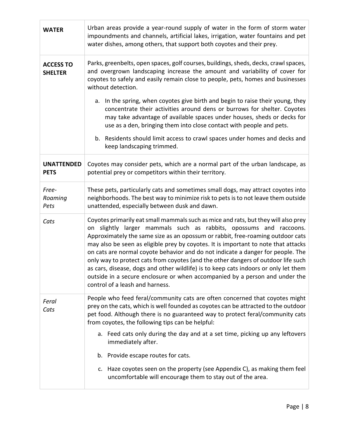| <b>WATER</b>                       | Urban areas provide a year-round supply of water in the form of storm water<br>impoundments and channels, artificial lakes, irrigation, water fountains and pet<br>water dishes, among others, that support both coyotes and their prey.                                                                                                                                                                                                                                                                                                                                                                                                                                                                             |  |  |
|------------------------------------|----------------------------------------------------------------------------------------------------------------------------------------------------------------------------------------------------------------------------------------------------------------------------------------------------------------------------------------------------------------------------------------------------------------------------------------------------------------------------------------------------------------------------------------------------------------------------------------------------------------------------------------------------------------------------------------------------------------------|--|--|
| <b>ACCESS TO</b><br><b>SHELTER</b> | Parks, greenbelts, open spaces, golf courses, buildings, sheds, decks, crawl spaces,<br>and overgrown landscaping increase the amount and variability of cover for<br>coyotes to safely and easily remain close to people, pets, homes and businesses<br>without detection.                                                                                                                                                                                                                                                                                                                                                                                                                                          |  |  |
|                                    | a. In the spring, when coyotes give birth and begin to raise their young, they<br>concentrate their activities around dens or burrows for shelter. Coyotes<br>may take advantage of available spaces under houses, sheds or decks for<br>use as a den, bringing them into close contact with people and pets.                                                                                                                                                                                                                                                                                                                                                                                                        |  |  |
|                                    | b. Residents should limit access to crawl spaces under homes and decks and<br>keep landscaping trimmed.                                                                                                                                                                                                                                                                                                                                                                                                                                                                                                                                                                                                              |  |  |
| <b>UNATTENDED</b><br><b>PETS</b>   | Coyotes may consider pets, which are a normal part of the urban landscape, as<br>potential prey or competitors within their territory.                                                                                                                                                                                                                                                                                                                                                                                                                                                                                                                                                                               |  |  |
| Free-<br>Roaming<br>Pets           | These pets, particularly cats and sometimes small dogs, may attract coyotes into<br>neighborhoods. The best way to minimize risk to pets is to not leave them outside<br>unattended, especially between dusk and dawn.                                                                                                                                                                                                                                                                                                                                                                                                                                                                                               |  |  |
| Cats                               | Coyotes primarily eat small mammals such as mice and rats, but they will also prey<br>slightly larger mammals such as rabbits, opossums and raccoons.<br>on<br>Approximately the same size as an opossum or rabbit, free-roaming outdoor cats<br>may also be seen as eligible prey by coyotes. It is important to note that attacks<br>on cats are normal coyote behavior and do not indicate a danger for people. The<br>only way to protect cats from coyotes (and the other dangers of outdoor life such<br>as cars, disease, dogs and other wildlife) is to keep cats indoors or only let them<br>outside in a secure enclosure or when accompanied by a person and under the<br>control of a leash and harness. |  |  |
| Feral<br>Cats                      | People who feed feral/community cats are often concerned that coyotes might<br>prey on the cats, which is well founded as coyotes can be attracted to the outdoor<br>pet food. Although there is no guaranteed way to protect feral/community cats<br>from coyotes, the following tips can be helpful:                                                                                                                                                                                                                                                                                                                                                                                                               |  |  |
|                                    | a. Feed cats only during the day and at a set time, picking up any leftovers<br>immediately after.                                                                                                                                                                                                                                                                                                                                                                                                                                                                                                                                                                                                                   |  |  |
|                                    | b. Provide escape routes for cats.                                                                                                                                                                                                                                                                                                                                                                                                                                                                                                                                                                                                                                                                                   |  |  |
|                                    | c. Haze coyotes seen on the property (see Appendix C), as making them feel<br>uncomfortable will encourage them to stay out of the area.                                                                                                                                                                                                                                                                                                                                                                                                                                                                                                                                                                             |  |  |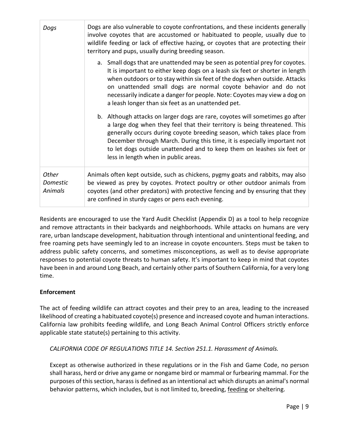| Dogs                         | Dogs are also vulnerable to coyote confrontations, and these incidents generally<br>involve coyotes that are accustomed or habituated to people, usually due to<br>wildlife feeding or lack of effective hazing, or coyotes that are protecting their<br>territory and pups, usually during breeding season.                                                                                                                                    |
|------------------------------|-------------------------------------------------------------------------------------------------------------------------------------------------------------------------------------------------------------------------------------------------------------------------------------------------------------------------------------------------------------------------------------------------------------------------------------------------|
|                              | a. Small dogs that are unattended may be seen as potential prey for coyotes.<br>It is important to either keep dogs on a leash six feet or shorter in length<br>when outdoors or to stay within six feet of the dogs when outside. Attacks<br>on unattended small dogs are normal coyote behavior and do not<br>necessarily indicate a danger for people. Note: Coyotes may view a dog on<br>a leash longer than six feet as an unattended pet. |
|                              | b. Although attacks on larger dogs are rare, coyotes will sometimes go after<br>a large dog when they feel that their territory is being threatened. This<br>generally occurs during coyote breeding season, which takes place from<br>December through March. During this time, it is especially important not<br>to let dogs outside unattended and to keep them on leashes six feet or<br>less in length when in public areas.               |
| Other<br>Domestic<br>Animals | Animals often kept outside, such as chickens, pygmy goats and rabbits, may also<br>be viewed as prey by coyotes. Protect poultry or other outdoor animals from<br>coyotes (and other predators) with protective fencing and by ensuring that they<br>are confined in sturdy cages or pens each evening.                                                                                                                                         |

Residents are encouraged to use the Yard Audit Checklist (Appendix D) as a tool to help recognize and remove attractants in their backyards and neighborhoods. While attacks on humans are very rare, urban landscape development, habituation through intentional and unintentional feeding, and free roaming pets have seemingly led to an increase in coyote encounters. Steps must be taken to address public safety concerns, and sometimes misconceptions, as well as to devise appropriate responses to potential coyote threats to human safety. It's important to keep in mind that coyotes have been in and around Long Beach, and certainly other parts of Southern California, for a very long time.

# **Enforcement**

The act of feeding wildlife can attract coyotes and their prey to an area, leading to the increased likelihood of creating a habituated coyote(s) presence and increased coyote and human interactions. California law prohibits feeding wildlife, and Long Beach Animal Control Officers strictly enforce applicable state statute(s) pertaining to this activity.

# *CALIFORNIA CODE OF REGULATIONS TITLE 14. Section 251.1. Harassment of Animals.*

Except as otherwise authorized in these regulations or in the Fish and Game Code, no person shall harass, herd or drive any game or nongame bird or mammal or furbearing mammal. For the purposes of this section, harass is defined as an intentional act which disrupts an animal's normal behavior patterns, which includes, but is not limited to, breeding, feeding or sheltering.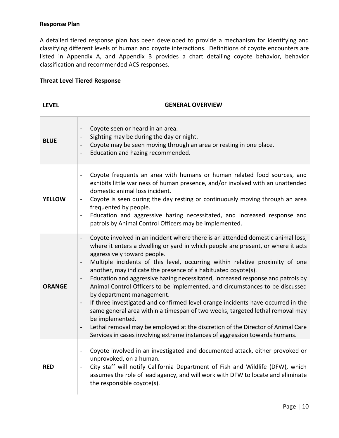# **Response Plan**

A detailed tiered response plan has been developed to provide a mechanism for identifying and classifying different levels of human and coyote interactions. Definitions of coyote encounters are listed in Appendix A, and Appendix B provides a chart detailing coyote behavior, behavior classification and recommended ACS responses.

# **Threat Level Tiered Response**

| <b>LEVEL</b>  | <b>GENERAL OVERVIEW</b>                                                                                                                                                                                                                                                                                                                                                                                                                                                                                                                                                                                                                                                                                                                                                        |
|---------------|--------------------------------------------------------------------------------------------------------------------------------------------------------------------------------------------------------------------------------------------------------------------------------------------------------------------------------------------------------------------------------------------------------------------------------------------------------------------------------------------------------------------------------------------------------------------------------------------------------------------------------------------------------------------------------------------------------------------------------------------------------------------------------|
| <b>BLUE</b>   | Coyote seen or heard in an area.<br>Sighting may be during the day or night.<br>Coyote may be seen moving through an area or resting in one place.<br>$\blacksquare$<br>Education and hazing recommended.<br>$\blacksquare$                                                                                                                                                                                                                                                                                                                                                                                                                                                                                                                                                    |
| <b>YELLOW</b> | Coyote frequents an area with humans or human related food sources, and<br>$\blacksquare$<br>exhibits little wariness of human presence, and/or involved with an unattended<br>domestic animal loss incident.<br>Coyote is seen during the day resting or continuously moving through an area<br>frequented by people.<br>Education and aggressive hazing necessitated, and increased response and<br>$\blacksquare$<br>patrols by Animal Control Officers may be implemented.                                                                                                                                                                                                                                                                                                 |
| <b>ORANGE</b> | Coyote involved in an incident where there is an attended domestic animal loss,<br>where it enters a dwelling or yard in which people are present, or where it acts<br>aggressively toward people.<br>Multiple incidents of this level, occurring within relative proximity of one<br>another, may indicate the presence of a habituated coyote(s).<br>Education and aggressive hazing necessitated, increased response and patrols by<br>$\blacksquare$<br>Animal Control Officers to be implemented, and circumstances to be discussed<br>by department management.<br>If three investigated and confirmed level orange incidents have occurred in the<br>$\blacksquare$<br>same general area within a timespan of two weeks, targeted lethal removal may<br>be implemented. |

Lethal removal may be employed at the discretion of the Director of Animal Care Services in cases involving extreme instances of aggression towards humans.

- Coyote involved in an investigated and documented attack, either provoked or unprovoked, on a human.

#### **RED** - City staff will notify California Department of Fish and Wildlife (DFW), which assumes the role of lead agency, and will work with DFW to locate and eliminate the responsible coyote(s).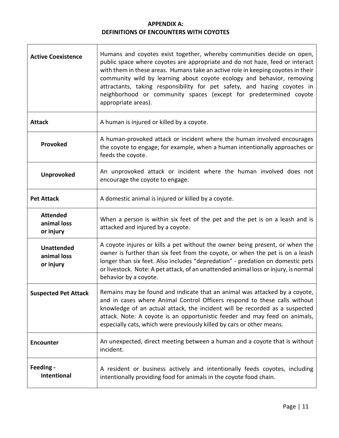# **APPENDIX A: DEFINITIONS OF ENCOUNTERS WITH COYOTES**

| <b>Active Coexistence</b>                                  | Humans and coyotes exist together, whereby communities decide on open,<br>public space where coyotes are appropriate and do not haze, feed or interact<br>with them in these areas. Humans take an active role in keeping coyotes in their<br>community wild by learning about coyote ecology and behavior, removing<br>attractants, taking responsibility for pet safety, and hazing coyotes in<br>neighborhood or community spaces (except for predetermined coyote<br>appropriate areas). |  |
|------------------------------------------------------------|----------------------------------------------------------------------------------------------------------------------------------------------------------------------------------------------------------------------------------------------------------------------------------------------------------------------------------------------------------------------------------------------------------------------------------------------------------------------------------------------|--|
| A human is injured or killed by a coyote.<br><b>Attack</b> |                                                                                                                                                                                                                                                                                                                                                                                                                                                                                              |  |
| Provoked                                                   | A human-provoked attack or incident where the human involved encourages<br>the coyote to engage; for example, when a human intentionally approaches or<br>feeds the coyote.                                                                                                                                                                                                                                                                                                                  |  |
| <b>Unprovoked</b>                                          | An unprovoked attack or incident where the human involved does not<br>encourage the coyote to engage.                                                                                                                                                                                                                                                                                                                                                                                        |  |
| <b>Pet Attack</b>                                          | A domestic animal is injured or killed by a coyote.                                                                                                                                                                                                                                                                                                                                                                                                                                          |  |
| <b>Attended</b><br>animal loss<br>or injury                | When a person is within six feet of the pet and the pet is on a leash and is<br>attacked and injured by a coyote.                                                                                                                                                                                                                                                                                                                                                                            |  |
| <b>Unattended</b><br>animal loss<br>or injury              | A coyote injures or kills a pet without the owner being present, or when the<br>owner is further than six feet from the coyote, or when the pet is on a leash<br>longer than six feet. Also includes "depredation" - predation on domestic pets<br>or livestock. Note: A pet attack, of an unattended animal loss or injury, is normal<br>behavior by a coyote.                                                                                                                              |  |
| <b>Suspected Pet Attack</b>                                | Remains may be found and indicate that an animal was attacked by a coyote,<br>and in cases where Animal Control Officers respond to these calls without<br>knowledge of an actual attack, the incident will be recorded as a suspected<br>attack. Note: A coyote is an opportunistic feeder and may feed on animals,<br>especially cats, which were previously killed by cars or other means.                                                                                                |  |
| <b>Encounter</b>                                           | An unexpected, direct meeting between a human and a coyote that is without<br>incident.                                                                                                                                                                                                                                                                                                                                                                                                      |  |
| Feeding -<br><b>Intentional</b>                            | A resident or business actively and intentionally feeds coyotes, including<br>intentionally providing food for animals in the coyote food chain.                                                                                                                                                                                                                                                                                                                                             |  |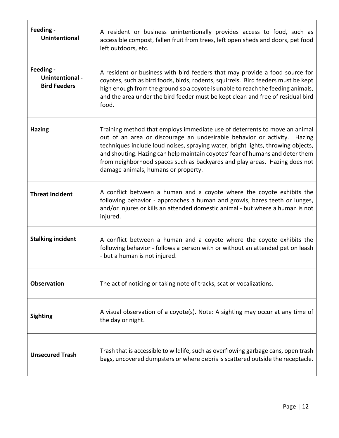| Feeding -<br><b>Unintentional</b>                   | A resident or business unintentionally provides access to food, such as<br>accessible compost, fallen fruit from trees, left open sheds and doors, pet food<br>left outdoors, etc.                                                                                                                                                                                                                                                               |  |
|-----------------------------------------------------|--------------------------------------------------------------------------------------------------------------------------------------------------------------------------------------------------------------------------------------------------------------------------------------------------------------------------------------------------------------------------------------------------------------------------------------------------|--|
| Feeding -<br>Unintentional -<br><b>Bird Feeders</b> | A resident or business with bird feeders that may provide a food source for<br>coyotes, such as bird foods, birds, rodents, squirrels. Bird feeders must be kept<br>high enough from the ground so a coyote is unable to reach the feeding animals,<br>and the area under the bird feeder must be kept clean and free of residual bird<br>food.                                                                                                  |  |
| <b>Hazing</b>                                       | Training method that employs immediate use of deterrents to move an animal<br>out of an area or discourage an undesirable behavior or activity. Hazing<br>techniques include loud noises, spraying water, bright lights, throwing objects,<br>and shouting. Hazing can help maintain coyotes' fear of humans and deter them<br>from neighborhood spaces such as backyards and play areas. Hazing does not<br>damage animals, humans or property. |  |
| <b>Threat Incident</b>                              | A conflict between a human and a coyote where the coyote exhibits the<br>following behavior - approaches a human and growls, bares teeth or lunges,<br>and/or injures or kills an attended domestic animal - but where a human is not<br>injured.                                                                                                                                                                                                |  |
| <b>Stalking incident</b>                            | A conflict between a human and a coyote where the coyote exhibits the<br>following behavior - follows a person with or without an attended pet on leash<br>- but a human is not injured.                                                                                                                                                                                                                                                         |  |
| <b>Observation</b>                                  | The act of noticing or taking note of tracks, scat or vocalizations.                                                                                                                                                                                                                                                                                                                                                                             |  |
| <b>Sighting</b>                                     | A visual observation of a coyote(s). Note: A sighting may occur at any time of<br>the day or night.                                                                                                                                                                                                                                                                                                                                              |  |
| <b>Unsecured Trash</b>                              | Trash that is accessible to wildlife, such as overflowing garbage cans, open trash<br>bags, uncovered dumpsters or where debris is scattered outside the receptacle.                                                                                                                                                                                                                                                                             |  |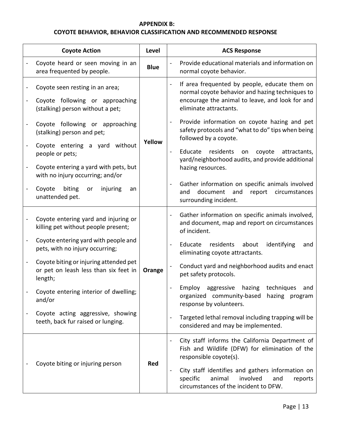# **APPENDIX B:**

# **COYOTE BEHAVIOR, BEHAVIOR CLASSIFICATION AND RECOMMENDED RESPONSE**

| <b>Coyote Action</b>             |                                                                                                        | Level       | <b>ACS Response</b>                                                                                                                                                                       |  |
|----------------------------------|--------------------------------------------------------------------------------------------------------|-------------|-------------------------------------------------------------------------------------------------------------------------------------------------------------------------------------------|--|
|                                  | Coyote heard or seen moving in an<br>area frequented by people.                                        | <b>Blue</b> | Provide educational materials and information on<br>normal coyote behavior.                                                                                                               |  |
|                                  | Coyote seen resting in an area;<br>Coyote following or approaching<br>(stalking) person without a pet; |             | If area frequented by people, educate them on<br>$\equiv$<br>normal coyote behavior and hazing techniques to<br>encourage the animal to leave, and look for and<br>eliminate attractants. |  |
|                                  | Coyote following or approaching<br>(stalking) person and pet;                                          | Yellow      | Provide information on coyote hazing and pet<br>safety protocols and "what to do" tips when being<br>followed by a coyote.                                                                |  |
|                                  | Coyote entering a yard without<br>people or pets;                                                      |             | Educate residents<br>coyote<br>attractants,<br>on<br>$\blacksquare$                                                                                                                       |  |
|                                  | Coyote entering a yard with pets, but<br>with no injury occurring; and/or                              |             | yard/neighborhood audits, and provide additional<br>hazing resources.                                                                                                                     |  |
|                                  | biting<br>Coyote<br>injuring<br>or<br>an<br>unattended pet.                                            |             | Gather information on specific animals involved<br>document<br>and<br>circumstances<br>and<br>report<br>surrounding incident.                                                             |  |
|                                  | Coyote entering yard and injuring or<br>killing pet without people present;                            |             | Gather information on specific animals involved,<br>$\blacksquare$<br>and document, map and report on circumstances<br>of incident.                                                       |  |
|                                  | Coyote entering yard with people and<br>pets, with no injury occurring;                                |             | about<br>identifying<br>Educate<br>residents<br>and<br>$\blacksquare$<br>eliminating coyote attractants.                                                                                  |  |
|                                  | Coyote biting or injuring attended pet<br>or pet on leash less than six feet in<br>length;             | Orange      | Conduct yard and neighborhood audits and enact<br>pet safety protocols.                                                                                                                   |  |
|                                  | Coyote entering interior of dwelling;<br>and/or                                                        |             | techniques<br>Employ<br>aggressive<br>hazing<br>and<br>organized community-based hazing program<br>response by volunteers.                                                                |  |
|                                  | Coyote acting aggressive, showing<br>teeth, back fur raised or lunging.                                |             | Targeted lethal removal including trapping will be<br>$\blacksquare$<br>considered and may be implemented.                                                                                |  |
| Coyote biting or injuring person |                                                                                                        | Red         | City staff informs the California Department of<br>$\blacksquare$<br>Fish and Wildlife (DFW) for elimination of the<br>responsible coyote(s).                                             |  |
|                                  |                                                                                                        |             | City staff identifies and gathers information on<br>specific<br>animal<br>involved<br>and<br>reports<br>circumstances of the incident to DFW.                                             |  |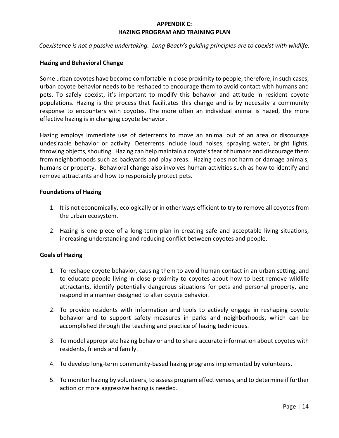# **APPENDIX C: HAZING PROGRAM AND TRAINING PLAN**

*Coexistence is not a passive undertaking. Long Beach's guiding principles are to coexist with wildlife.*

# **Hazing and Behavioral Change**

Some urban coyotes have become comfortable in close proximity to people; therefore, in such cases, urban coyote behavior needs to be reshaped to encourage them to avoid contact with humans and pets. To safely coexist, it's important to modify this behavior and attitude in resident coyote populations. Hazing is the process that facilitates this change and is by necessity a community response to encounters with coyotes. The more often an individual animal is hazed, the more effective hazing is in changing coyote behavior.

Hazing employs immediate use of deterrents to move an animal out of an area or discourage undesirable behavior or activity. Deterrents include loud noises, spraying water, bright lights, throwing objects, shouting. Hazing can help maintain a coyote's fear of humans and discourage them from neighborhoods such as backyards and play areas. Hazing does not harm or damage animals, humans or property. Behavioral change also involves human activities such as how to identify and remove attractants and how to responsibly protect pets.

#### **Foundations of Hazing**

- 1. It is not economically, ecologically or in other ways efficient to try to remove all coyotes from the urban ecosystem.
- 2. Hazing is one piece of a long-term plan in creating safe and acceptable living situations, increasing understanding and reducing conflict between coyotes and people.

# **Goals of Hazing**

- 1. To reshape coyote behavior, causing them to avoid human contact in an urban setting, and to educate people living in close proximity to coyotes about how to best remove wildlife attractants, identify potentially dangerous situations for pets and personal property, and respond in a manner designed to alter coyote behavior.
- 2. To provide residents with information and tools to actively engage in reshaping coyote behavior and to support safety measures in parks and neighborhoods, which can be accomplished through the teaching and practice of hazing techniques.
- 3. To model appropriate hazing behavior and to share accurate information about coyotes with residents, friends and family.
- 4. To develop long-term community-based hazing programs implemented by volunteers.
- 5. To monitor hazing by volunteers, to assess program effectiveness, and to determine if further action or more aggressive hazing is needed.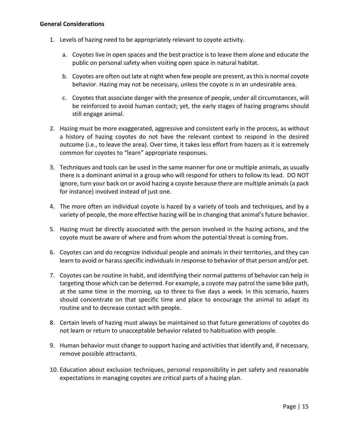# **General Considerations**

- 1. Levels of hazing need to be appropriately relevant to coyote activity.
	- a. Coyotes live in open spaces and the best practice is to leave them alone and educate the public on personal safety when visiting open space in natural habitat.
	- b. Coyotes are often out late at night when few people are present, as this is normal coyote behavior. Hazing may not be necessary, unless the coyote is in an undesirable area.
	- c. Coyotes that associate danger with the presence of people, under all circumstances, will be reinforced to avoid human contact; yet, the early stages of hazing programs should still engage animal.
- 2. Hazing must be more exaggerated, aggressive and consistent early in the process, as without a history of hazing coyotes do not have the relevant context to respond in the desired outcome (i.e., to leave the area). Over time, it takes less effort from hazers as it is extremely common for coyotes to "learn" appropriate responses.
- 3. Techniques and tools can be used in the same manner for one or multiple animals, as usually there is a dominant animal in a group who will respond for others to follow its lead. DO NOT ignore, turn your back on or avoid hazing a coyote because there are multiple animals (a pack for instance) involved instead of just one.
- 4. The more often an individual coyote is hazed by a variety of tools and techniques, and by a variety of people, the more effective hazing will be in changing that animal's future behavior.
- 5. Hazing must be directly associated with the person involved in the hazing actions, and the coyote must be aware of where and from whom the potential threat is coming from.
- 6. Coyotes can and do recognize individual people and animals in their territories, and they can learn to avoid or harass specific individuals in response to behavior of that person and/or pet.
- 7. Coyotes can be routine in habit, and identifying their normal patterns of behavior can help in targeting those which can be deterred. For example, a coyote may patrol the same bike path, at the same time in the morning, up to three to five days a week. In this scenario, hazers should concentrate on that specific time and place to encourage the animal to adapt its routine and to decrease contact with people.
- 8. Certain levels of hazing must always be maintained so that future generations of coyotes do not learn or return to unacceptable behavior related to habituation with people.
- 9. Human behavior must change to support hazing and activities that identify and, if necessary, remove possible attractants.
- 10. Education about exclusion techniques, personal responsibility in pet safety and reasonable expectations in managing coyotes are critical parts of a hazing plan.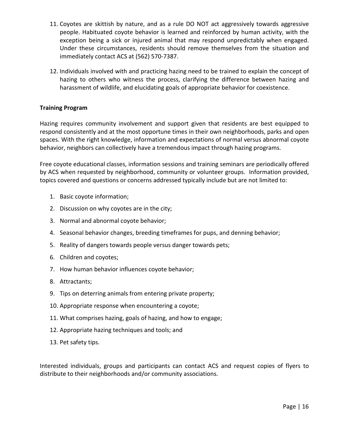- 11. Coyotes are skittish by nature, and as a rule DO NOT act aggressively towards aggressive people. Habituated coyote behavior is learned and reinforced by human activity, with the exception being a sick or injured animal that may respond unpredictably when engaged. Under these circumstances, residents should remove themselves from the situation and immediately contact ACS at (562) 570-7387.
- 12. Individuals involved with and practicing hazing need to be trained to explain the concept of hazing to others who witness the process, clarifying the difference between hazing and harassment of wildlife, and elucidating goals of appropriate behavior for coexistence.

# **Training Program**

Hazing requires community involvement and support given that residents are best equipped to respond consistently and at the most opportune times in their own neighborhoods, parks and open spaces. With the right knowledge, information and expectations of normal versus abnormal coyote behavior, neighbors can collectively have a tremendous impact through hazing programs.

Free coyote educational classes, information sessions and training seminars are periodically offered by ACS when requested by neighborhood, community or volunteer groups. Information provided, topics covered and questions or concerns addressed typically include but are not limited to:

- 1. Basic coyote information;
- 2. Discussion on why coyotes are in the city;
- 3. Normal and abnormal coyote behavior;
- 4. Seasonal behavior changes, breeding timeframes for pups, and denning behavior;
- 5. Reality of dangers towards people versus danger towards pets;
- 6. Children and coyotes;
- 7. How human behavior influences coyote behavior;
- 8. Attractants;
- 9. Tips on deterring animals from entering private property;
- 10. Appropriate response when encountering a coyote;
- 11. What comprises hazing, goals of hazing, and how to engage;
- 12. Appropriate hazing techniques and tools; and
- 13. Pet safety tips.

Interested individuals, groups and participants can contact ACS and request copies of flyers to distribute to their neighborhoods and/or community associations.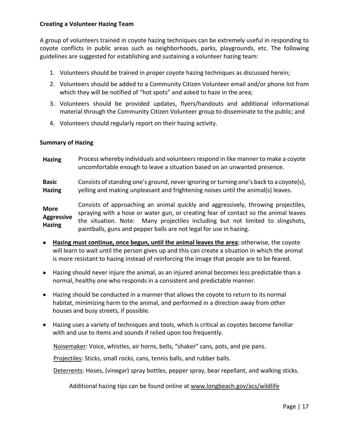# **Creating a Volunteer Hazing Team**

A group of volunteers trained in coyote hazing techniques can be extremely useful in responding to coyote conflicts in public areas such as neighborhoods, parks, playgrounds, etc. The following guidelines are suggested for establishing and sustaining a volunteer hazing team:

- 1. Volunteers should be trained in proper coyote hazing techniques as discussed herein;
- 2. Volunteers should be added to a Community Citizen Volunteer email and/or phone list from which they will be notified of "hot spots" and asked to haze in the area;
- 3. Volunteers should be provided updates, flyers/handouts and additional informational material through the Community Citizen Volunteer group to disseminate to the public; and
- 4. Volunteers should regularly report on their hazing activity.

# **Summary of Hazing**

| <b>Hazing</b>                                     | Process whereby individuals and volunteers respond in like manner to make a coyote<br>uncomfortable enough to leave a situation based on an unwanted presence.                                                                                                                                                                   |
|---------------------------------------------------|----------------------------------------------------------------------------------------------------------------------------------------------------------------------------------------------------------------------------------------------------------------------------------------------------------------------------------|
| <b>Basic</b><br><b>Hazing</b>                     | Consists of standing one's ground, never ignoring or turning one's back to a coyote(s),<br>yelling and making unpleasant and frightening noises until the animal(s) leaves.                                                                                                                                                      |
| <b>More</b><br><b>Aggressive</b><br><b>Hazing</b> | Consists of approaching an animal quickly and aggressively, throwing projectiles,<br>spraying with a hose or water gun, or creating fear of contact so the animal leaves<br>the situation. Note: Many projectiles including but not limited to slingshots,<br>paintballs, guns and pepper balls are not legal for use in hazing. |

- **Hazing must continue, once begun, until the animal leaves the area**; otherwise, the coyote will learn to wait until the person gives up and this can create a situation in which the animal is more resistant to hazing instead of reinforcing the image that people are to be feared.
- Hazing should never injure the animal, as an injured animal becomes less predictable than a normal, healthy one who responds in a consistent and predictable manner.
- Hazing should be conducted in a manner that allows the coyote to return to its normal habitat, minimizing harm to the animal, and performed in a direction away from other houses and busy streets, if possible.
- Hazing uses a variety of techniques and tools, which is critical as coyotes become familiar with and use to items and sounds if relied upon too frequently.

Noisemaker: Voice, whistles, air horns, bells, "shaker" cans, pots, and pie pans.

Projectiles: Sticks, small rocks, cans, tennis balls, and rubber balls.

Deterrents: Hoses, (vinegar) spray bottles, pepper spray, bear repellant, and walking sticks.

Additional hazing tips can be found online at www.longbeach.gov/acs/wildlife